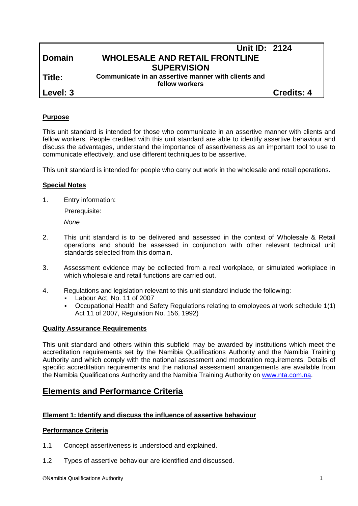|  |  | Domain |
|--|--|--------|
|  |  |        |

## **Unit ID: 2124 Domain WHOLESALE AND RETAIL FRONTLINE SUPERVISION**

**Title: Communicate in an assertive manner with clients and fellow workers**

**Level: 3 Credits: 4**

## **Purpose**

This unit standard is intended for those who communicate in an assertive manner with clients and fellow workers. People credited with this unit standard are able to identify assertive behaviour and discuss the advantages, understand the importance of assertiveness as an important tool to use to communicate effectively, and use different techniques to be assertive.

This unit standard is intended for people who carry out work in the wholesale and retail operations.

#### **Special Notes**

1. Entry information:

Prerequisite:

*None*

- 2. This unit standard is to be delivered and assessed in the context of Wholesale & Retail operations and should be assessed in conjunction with other relevant technical unit standards selected from this domain.
- 3. Assessment evidence may be collected from a real workplace, or simulated workplace in which wholesale and retail functions are carried out.
- 4. Regulations and legislation relevant to this unit standard include the following:
	- Labour Act, No. 11 of 2007
	- Occupational Health and Safety Regulations relating to employees at work schedule 1(1) Act 11 of 2007, Regulation No. 156, 1992)

## **Quality Assurance Requirements**

This unit standard and others within this subfield may be awarded by institutions which meet the accreditation requirements set by the Namibia Qualifications Authority and the Namibia Training Authority and which comply with the national assessment and moderation requirements. Details of specific accreditation requirements and the national assessment arrangements are available from the Namibia Qualifications Authority and the Namibia Training Authority on [www.nta.com.na.](http://www.nta.com.na/)

## **Elements and Performance Criteria**

## **Element 1: Identify and discuss the influence of assertive behaviour**

#### **Performance Criteria**

- 1.1 Concept assertiveness is understood and explained.
- 1.2 Types of assertive behaviour are identified and discussed.